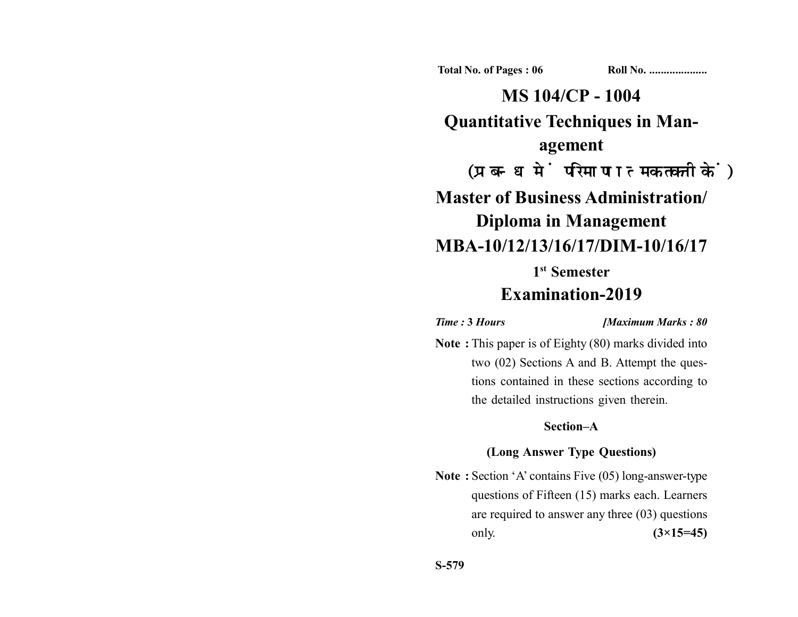**Total No. of Pages : 06 Roll No. ...................** 

**MS 104/CP - 1004 Quantitative Techniques in Management** (प्रबन्ध में परिमाणात्मक तकनीकें) **Master of Business Administration/ Diploma in Management MBA-10/12/13/16/17/DIM-10/16/17 1st Semester**

# **Examination-2019**

*Time :* **3** *Hours [Maximum Marks : 80*

**Note :** This paper is of Eighty (80) marks divided into two (02) Sections A and B. Attempt the questions contained in these sections according to the detailed instructions given therein.

## **Section–A**

### **(Long Answer Type Questions)**

**Note :** Section 'A' contains Five (05) long-answer-type questions of Fifteen (15) marks each. Learners are required to answer any three (03) questions only. **(3×15=45)**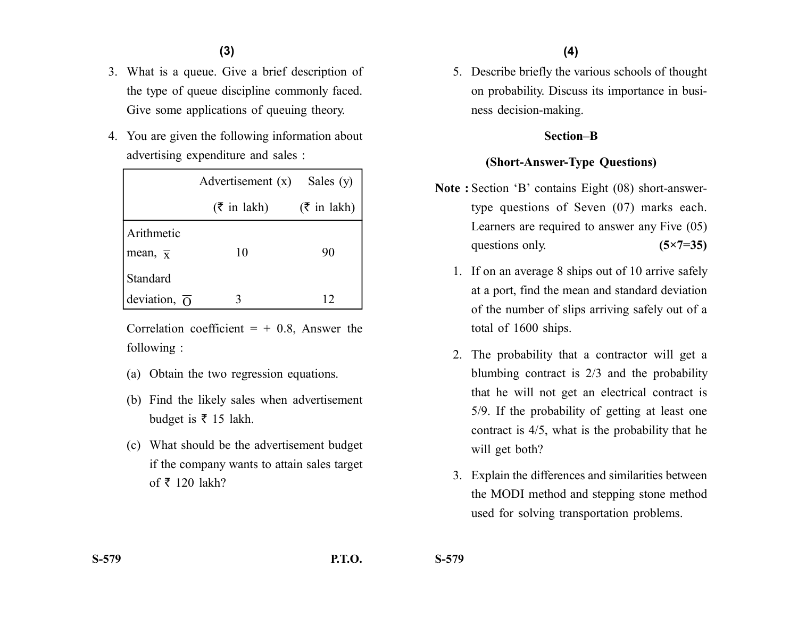- 3. What is a queue. Give a brief description of the type of queue discipline commonly faced. Give some applications of queuing theory.
- 4. You are given the following information about advertising expenditure and sales :

|                           | Advertisement $(x)$        | Sales (y)              |  |
|---------------------------|----------------------------|------------------------|--|
|                           | $(3\overline{5})$ in lakh) | $(\bar{\tau}$ in lakh) |  |
| Arithmetic                |                            |                        |  |
| mean, $\overline{x}$      | 10                         | 90                     |  |
| <b>Standard</b>           |                            |                        |  |
| deviation, $\overline{O}$ |                            | 12                     |  |

Correlation coefficient  $= +0.8$ , Answer the following :

- (a) Obtain the two regression equations.
- (b) Find the likely sales when advertisement budget is  $\bar{\tau}$  15 lakh.
- (c) What should be the advertisement budget if the company wants to attain sales target of  $\bar{\tau}$  120 lakh?

5. Describe briefly the various schools of thought on probability. Discuss its importance in business decision-making.

#### **Section–B**

### **(Short-Answer-Type Questions)**

- **Note :** Section 'B' contains Eight (08) short-answertype questions of Seven (07) marks each. Learners are required to answer any Five (05) questions only. **(5×7=35)** 
	- 1. If on an average 8 ships out of 10 arrive safely at a port, find the mean and standard deviation of the number of slips arriving safely out of a total of 1600 ships.
	- 2. The probability that a contractor will get a blumbing contract is 2/3 and the probability that he will not get an electrical contract is 5/9. If the probability of getting at least one contract is 4/5, what is the probability that he will get both?
	- 3. Explain the differences and similarities between the MODI method and stepping stone method used for solving transportation problems.

**S-579 P.T.O. S-579**